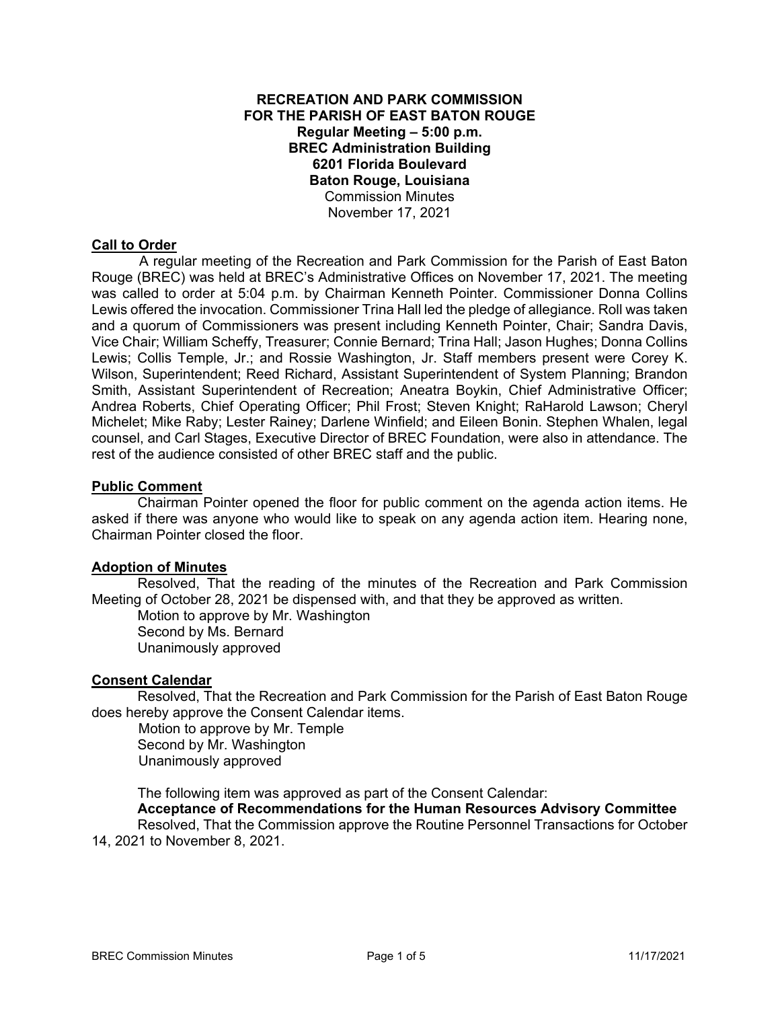## **RECREATION AND PARK COMMISSION FOR THE PARISH OF EAST BATON ROUGE Regular Meeting – 5:00 p.m. BREC Administration Building 6201 Florida Boulevard Baton Rouge, Louisiana**  Commission Minutes November 17, 2021

### **Call to Order**

 A regular meeting of the Recreation and Park Commission for the Parish of East Baton Rouge (BREC) was held at BREC's Administrative Offices on November 17, 2021. The meeting was called to order at 5:04 p.m. by Chairman Kenneth Pointer. Commissioner Donna Collins Lewis offered the invocation. Commissioner Trina Hall led the pledge of allegiance. Roll was taken and a quorum of Commissioners was present including Kenneth Pointer, Chair; Sandra Davis, Vice Chair; William Scheffy, Treasurer; Connie Bernard; Trina Hall; Jason Hughes; Donna Collins Lewis; Collis Temple, Jr.; and Rossie Washington, Jr. Staff members present were Corey K. Wilson, Superintendent; Reed Richard, Assistant Superintendent of System Planning; Brandon Smith, Assistant Superintendent of Recreation; Aneatra Boykin, Chief Administrative Officer; Andrea Roberts, Chief Operating Officer; Phil Frost; Steven Knight; RaHarold Lawson; Cheryl Michelet; Mike Raby; Lester Rainey; Darlene Winfield; and Eileen Bonin. Stephen Whalen, legal counsel, and Carl Stages, Executive Director of BREC Foundation, were also in attendance. The rest of the audience consisted of other BREC staff and the public.

### **Public Comment**

Chairman Pointer opened the floor for public comment on the agenda action items. He asked if there was anyone who would like to speak on any agenda action item. Hearing none, Chairman Pointer closed the floor.

### **Adoption of Minutes**

Resolved, That the reading of the minutes of the Recreation and Park Commission Meeting of October 28, 2021 be dispensed with, and that they be approved as written.

Motion to approve by Mr. Washington Second by Ms. Bernard Unanimously approved

#### **Consent Calendar**

Resolved, That the Recreation and Park Commission for the Parish of East Baton Rouge does hereby approve the Consent Calendar items.

 Motion to approve by Mr. Temple Second by Mr. Washington Unanimously approved

The following item was approved as part of the Consent Calendar:

 **Acceptance of Recommendations for the Human Resources Advisory Committee**  Resolved, That the Commission approve the Routine Personnel Transactions for October 14, 2021 to November 8, 2021.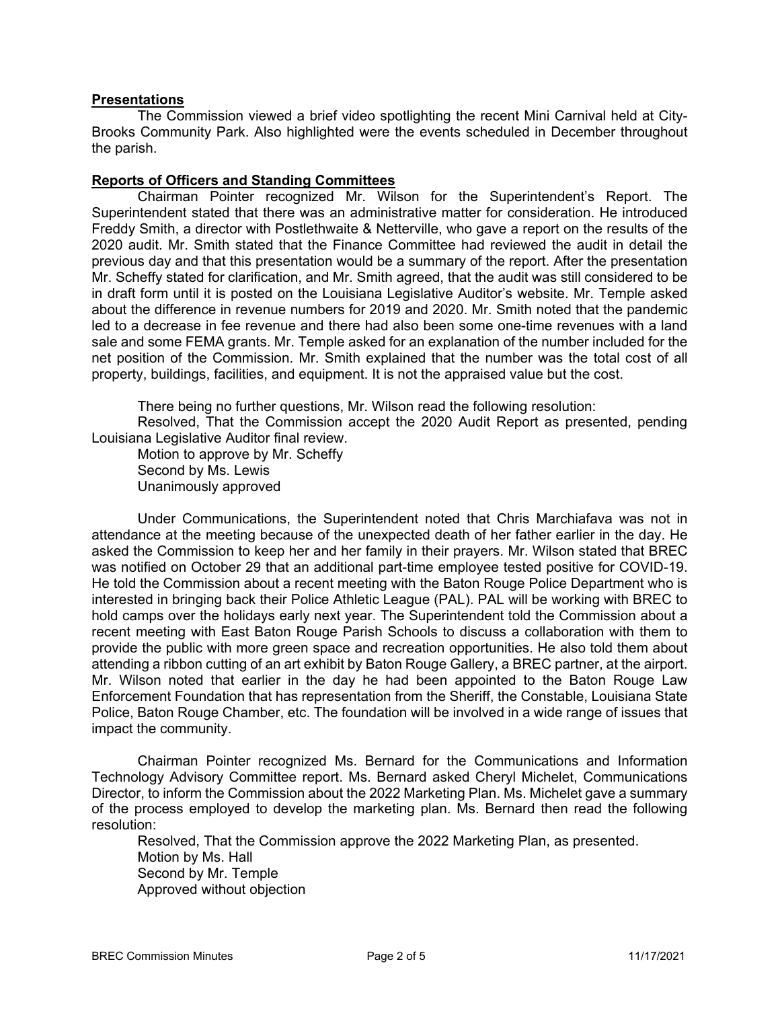## **Presentations**

The Commission viewed a brief video spotlighting the recent Mini Carnival held at City-Brooks Community Park. Also highlighted were the events scheduled in December throughout the parish.

### **Reports of Officers and Standing Committees**

Chairman Pointer recognized Mr. Wilson for the Superintendent's Report. The Superintendent stated that there was an administrative matter for consideration. He introduced Freddy Smith, a director with Postlethwaite & Netterville, who gave a report on the results of the 2020 audit. Mr. Smith stated that the Finance Committee had reviewed the audit in detail the previous day and that this presentation would be a summary of the report. After the presentation Mr. Scheffy stated for clarification, and Mr. Smith agreed, that the audit was still considered to be in draft form until it is posted on the Louisiana Legislative Auditor's website. Mr. Temple asked about the difference in revenue numbers for 2019 and 2020. Mr. Smith noted that the pandemic led to a decrease in fee revenue and there had also been some one-time revenues with a land sale and some FEMA grants. Mr. Temple asked for an explanation of the number included for the net position of the Commission. Mr. Smith explained that the number was the total cost of all property, buildings, facilities, and equipment. It is not the appraised value but the cost.

There being no further questions, Mr. Wilson read the following resolution:

Resolved, That the Commission accept the 2020 Audit Report as presented, pending Louisiana Legislative Auditor final review.

Motion to approve by Mr. Scheffy Second by Ms. Lewis

Unanimously approved

Under Communications, the Superintendent noted that Chris Marchiafava was not in attendance at the meeting because of the unexpected death of her father earlier in the day. He asked the Commission to keep her and her family in their prayers. Mr. Wilson stated that BREC was notified on October 29 that an additional part-time employee tested positive for COVID-19. He told the Commission about a recent meeting with the Baton Rouge Police Department who is interested in bringing back their Police Athletic League (PAL). PAL will be working with BREC to hold camps over the holidays early next year. The Superintendent told the Commission about a recent meeting with East Baton Rouge Parish Schools to discuss a collaboration with them to provide the public with more green space and recreation opportunities. He also told them about attending a ribbon cutting of an art exhibit by Baton Rouge Gallery, a BREC partner, at the airport. Mr. Wilson noted that earlier in the day he had been appointed to the Baton Rouge Law Enforcement Foundation that has representation from the Sheriff, the Constable, Louisiana State Police, Baton Rouge Chamber, etc. The foundation will be involved in a wide range of issues that impact the community.

Chairman Pointer recognized Ms. Bernard for the Communications and Information Technology Advisory Committee report. Ms. Bernard asked Cheryl Michelet, Communications Director, to inform the Commission about the 2022 Marketing Plan. Ms. Michelet gave a summary of the process employed to develop the marketing plan. Ms. Bernard then read the following resolution:

Resolved, That the Commission approve the 2022 Marketing Plan, as presented. Motion by Ms. Hall Second by Mr. Temple Approved without objection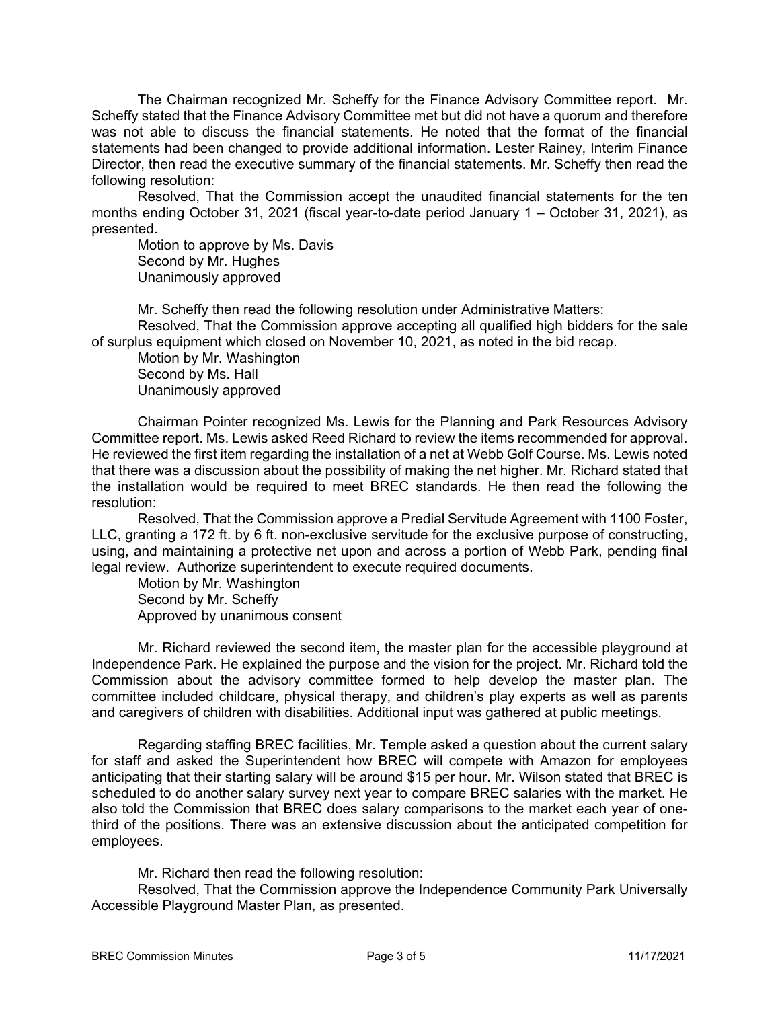The Chairman recognized Mr. Scheffy for the Finance Advisory Committee report. Mr. Scheffy stated that the Finance Advisory Committee met but did not have a quorum and therefore was not able to discuss the financial statements. He noted that the format of the financial statements had been changed to provide additional information. Lester Rainey, Interim Finance Director, then read the executive summary of the financial statements. Mr. Scheffy then read the following resolution:

Resolved, That the Commission accept the unaudited financial statements for the ten months ending October 31, 2021 (fiscal year-to-date period January 1 – October 31, 2021), as presented.

Motion to approve by Ms. Davis Second by Mr. Hughes Unanimously approved

Mr. Scheffy then read the following resolution under Administrative Matters: Resolved, That the Commission approve accepting all qualified high bidders for the sale of surplus equipment which closed on November 10, 2021, as noted in the bid recap.

Motion by Mr. Washington Second by Ms. Hall Unanimously approved

Chairman Pointer recognized Ms. Lewis for the Planning and Park Resources Advisory Committee report. Ms. Lewis asked Reed Richard to review the items recommended for approval. He reviewed the first item regarding the installation of a net at Webb Golf Course. Ms. Lewis noted that there was a discussion about the possibility of making the net higher. Mr. Richard stated that the installation would be required to meet BREC standards. He then read the following the resolution:

Resolved, That the Commission approve a Predial Servitude Agreement with 1100 Foster, LLC, granting a 172 ft. by 6 ft. non-exclusive servitude for the exclusive purpose of constructing, using, and maintaining a protective net upon and across a portion of Webb Park, pending final legal review. Authorize superintendent to execute required documents.

Motion by Mr. Washington Second by Mr. Scheffy Approved by unanimous consent

Mr. Richard reviewed the second item, the master plan for the accessible playground at Independence Park. He explained the purpose and the vision for the project. Mr. Richard told the Commission about the advisory committee formed to help develop the master plan. The committee included childcare, physical therapy, and children's play experts as well as parents and caregivers of children with disabilities. Additional input was gathered at public meetings.

Regarding staffing BREC facilities, Mr. Temple asked a question about the current salary for staff and asked the Superintendent how BREC will compete with Amazon for employees anticipating that their starting salary will be around \$15 per hour. Mr. Wilson stated that BREC is scheduled to do another salary survey next year to compare BREC salaries with the market. He also told the Commission that BREC does salary comparisons to the market each year of onethird of the positions. There was an extensive discussion about the anticipated competition for employees.

Mr. Richard then read the following resolution:

Resolved, That the Commission approve the Independence Community Park Universally Accessible Playground Master Plan, as presented.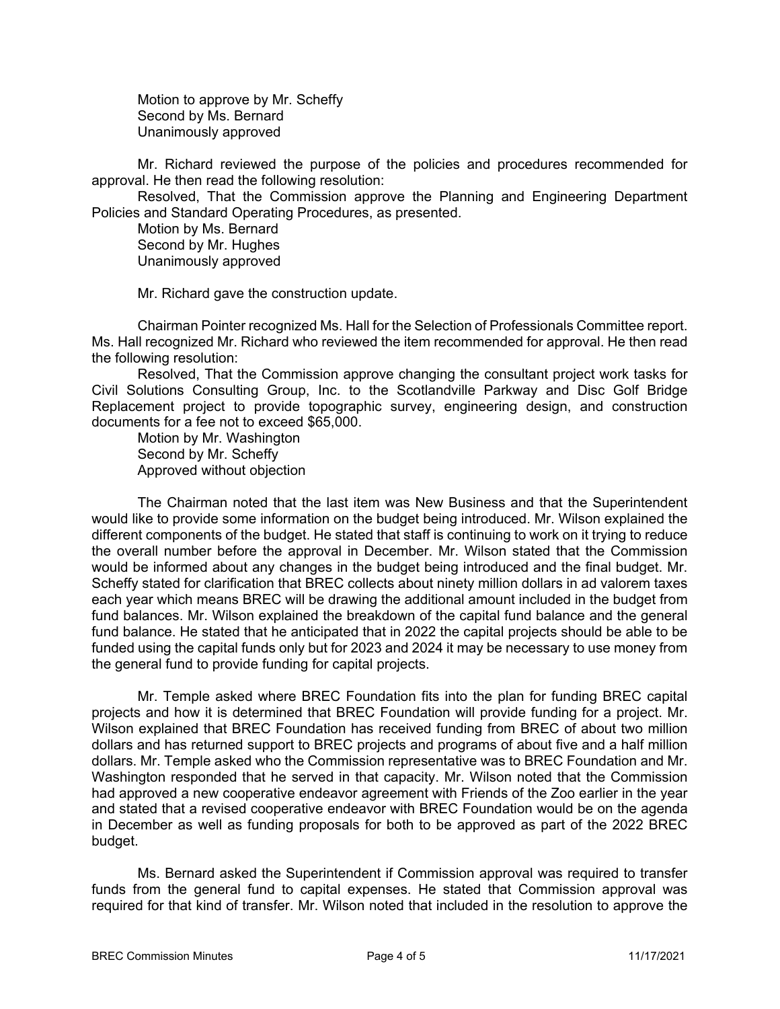Motion to approve by Mr. Scheffy Second by Ms. Bernard Unanimously approved

Mr. Richard reviewed the purpose of the policies and procedures recommended for approval. He then read the following resolution:

Resolved, That the Commission approve the Planning and Engineering Department Policies and Standard Operating Procedures, as presented.

Motion by Ms. Bernard Second by Mr. Hughes Unanimously approved

Mr. Richard gave the construction update.

Chairman Pointer recognized Ms. Hall for the Selection of Professionals Committee report. Ms. Hall recognized Mr. Richard who reviewed the item recommended for approval. He then read the following resolution:

Resolved, That the Commission approve changing the consultant project work tasks for Civil Solutions Consulting Group, Inc. to the Scotlandville Parkway and Disc Golf Bridge Replacement project to provide topographic survey, engineering design, and construction documents for a fee not to exceed \$65,000.

Motion by Mr. Washington Second by Mr. Scheffy Approved without objection

The Chairman noted that the last item was New Business and that the Superintendent would like to provide some information on the budget being introduced. Mr. Wilson explained the different components of the budget. He stated that staff is continuing to work on it trying to reduce the overall number before the approval in December. Mr. Wilson stated that the Commission would be informed about any changes in the budget being introduced and the final budget. Mr. Scheffy stated for clarification that BREC collects about ninety million dollars in ad valorem taxes each year which means BREC will be drawing the additional amount included in the budget from fund balances. Mr. Wilson explained the breakdown of the capital fund balance and the general fund balance. He stated that he anticipated that in 2022 the capital projects should be able to be funded using the capital funds only but for 2023 and 2024 it may be necessary to use money from the general fund to provide funding for capital projects.

Mr. Temple asked where BREC Foundation fits into the plan for funding BREC capital projects and how it is determined that BREC Foundation will provide funding for a project. Mr. Wilson explained that BREC Foundation has received funding from BREC of about two million dollars and has returned support to BREC projects and programs of about five and a half million dollars. Mr. Temple asked who the Commission representative was to BREC Foundation and Mr. Washington responded that he served in that capacity. Mr. Wilson noted that the Commission had approved a new cooperative endeavor agreement with Friends of the Zoo earlier in the year and stated that a revised cooperative endeavor with BREC Foundation would be on the agenda in December as well as funding proposals for both to be approved as part of the 2022 BREC budget.

Ms. Bernard asked the Superintendent if Commission approval was required to transfer funds from the general fund to capital expenses. He stated that Commission approval was required for that kind of transfer. Mr. Wilson noted that included in the resolution to approve the